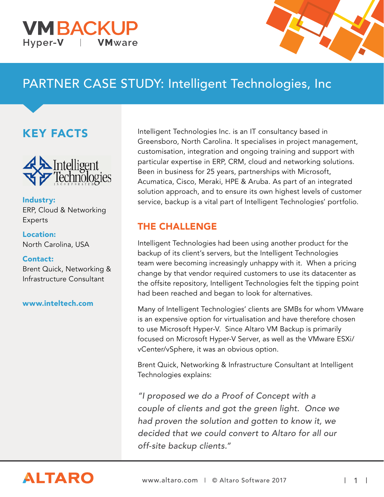#### **VMBACKU** Hyper-V **VM**ware



# PARTNER CASE STUDY: Intelligent Technologies, Inc

## KEY FACTS



Industry: ERP, Cloud & Networking Experts

Location: North Carolina, USA

#### Contact:

Brent Quick, Networking & Infrastructure Consultant

#### www.inteltech.com

Intelligent Technologies Inc. is an IT consultancy based in Greensboro, North Carolina. It specialises in project management, customisation, integration and ongoing training and support with particular expertise in ERP, CRM, cloud and networking solutions. Been in business for 25 years, partnerships with Microsoft, Acumatica, Cisco, Meraki, HPE & Aruba. As part of an integrated solution approach, and to ensure its own highest levels of customer service, backup is a vital part of Intelligent Technologies' portfolio.

### THE CHALLENGE

Intelligent Technologies had been using another product for the backup of its client's servers, but the Intelligent Technologies team were becoming increasingly unhappy with it. When a pricing change by that vendor required customers to use its datacenter as the offsite repository, Intelligent Technologies felt the tipping point had been reached and began to look for alternatives.

Many of Intelligent Technologies' clients are SMBs for whom VMware is an expensive option for virtualisation and have therefore chosen to use Microsoft Hyper-V. Since Altaro VM Backup is primarily focused on Microsoft Hyper-V Server, as well as the VMware ESXi/ vCenter/vSphere, it was an obvious option.

Brent Quick, Networking & Infrastructure Consultant at Intelligent Technologies explains:

"I proposed we do a Proof of Concept with a couple of clients and got the green light. Once we had proven the solution and gotten to know it, we decided that we could convert to Altaro for all our off-site backup clients."

# **ALTARO**